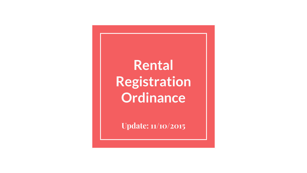#### **Rental Registration Ordinance**

**Update: 11/10/2015**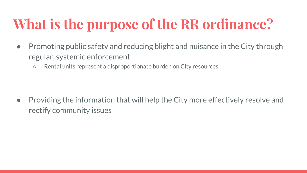# **What is the purpose of the RR ordinance?**

- Promoting public safety and reducing blight and nuisance in the City through regular, systemic enforcement
	- Rental units represent a disproportionate burden on City resources

● Providing the information that will help the City more effectively resolve and rectify community issues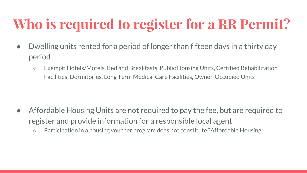## **Who is required to register for a RR Permit?**

- Dwelling units rented for a period of longer than fifteen days in a thirty day period
	- Exempt: Hotels/Motels, Bed and Breakfasts, Public Housing Units, Certified Rehabilitation Facilities, Dormitories, Long Term Medical Care Facilities, Owner-Occupied Units

- Affordable Housing Units are not required to pay the fee, but are required to register and provide information for a responsible local agent
	- Participation in a housing voucher program does not constitute "Affordable Housing"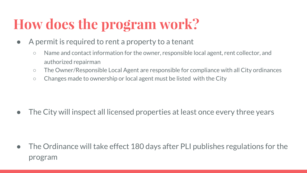## **How does the program work?**

- A permit is required to rent a property to a tenant
	- Name and contact information for the owner, responsible local agent, rent collector, and authorized repairman
	- The Owner/Responsible Local Agent are responsible for compliance with all City ordinances
	- Changes made to ownership or local agent must be listed with the City

● The City will inspect all licensed properties at least once every three years

● The Ordinance will take effect 180 days after PLI publishes regulations for the program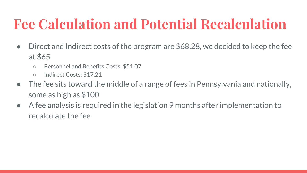## **Fee Calculation and Potential Recalculation**

- Direct and Indirect costs of the program are \$68.28, we decided to keep the fee at \$65
	- Personnel and Benefits Costs: \$51.07
	- Indirect Costs: \$17.21
- The fee sits toward the middle of a range of fees in Pennsylvania and nationally, some as high as \$100
- A fee analysis is required in the legislation 9 months after implementation to recalculate the fee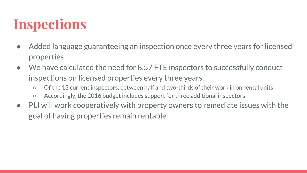### **Inspections**

- Added language guaranteeing an inspection once every three years for licensed properties
- We have calculated the need for 8.57 FTE inspectors to successfully conduct inspections on licensed properties every three years.
	- Of the 13 current inspectors, between half and two-thirds of their work in on rental units
	- Accordingly, the 2016 budget includes support for three additional inspectors
- PLI will work cooperatively with property owners to remediate issues with the goal of having properties remain rentable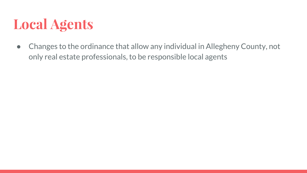#### **Local Agents**

● Changes to the ordinance that allow any individual in Allegheny County, not only real estate professionals, to be responsible local agents